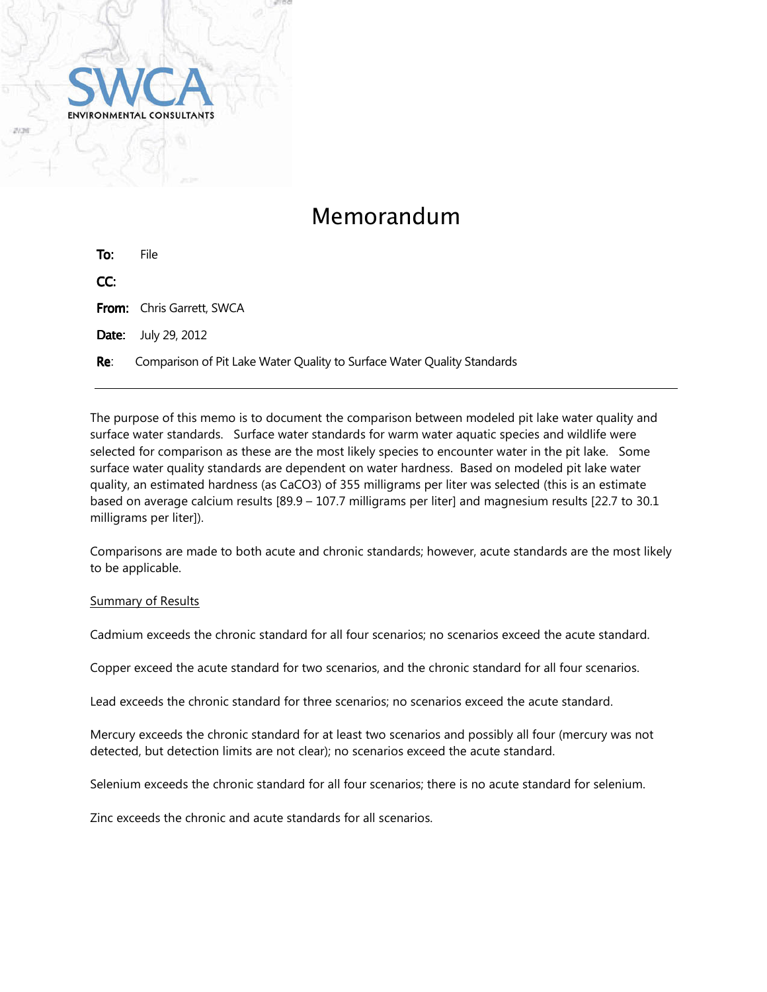

## Memorandum

| To: | File.                                                                   |
|-----|-------------------------------------------------------------------------|
| CC: |                                                                         |
|     | <b>From:</b> Chris Garrett, SWCA                                        |
|     | <b>Date:</b> July 29, 2012                                              |
| Re: | Comparison of Pit Lake Water Quality to Surface Water Quality Standards |

The purpose of this memo is to document the comparison between modeled pit lake water quality and surface water standards. Surface water standards for warm water aquatic species and wildlife were selected for comparison as these are the most likely species to encounter water in the pit lake. Some surface water quality standards are dependent on water hardness. Based on modeled pit lake water quality, an estimated hardness (as CaCO3) of 355 milligrams per liter was selected (this is an estimate based on average calcium results [89.9 – 107.7 milligrams per liter] and magnesium results [22.7 to 30.1 milligrams per liter]).

Comparisons are made to both acute and chronic standards; however, acute standards are the most likely to be applicable.

## Summary of Results

Cadmium exceeds the chronic standard for all four scenarios; no scenarios exceed the acute standard.

Copper exceed the acute standard for two scenarios, and the chronic standard for all four scenarios.

Lead exceeds the chronic standard for three scenarios; no scenarios exceed the acute standard.

Mercury exceeds the chronic standard for at least two scenarios and possibly all four (mercury was not detected, but detection limits are not clear); no scenarios exceed the acute standard.

Selenium exceeds the chronic standard for all four scenarios; there is no acute standard for selenium.

Zinc exceeds the chronic and acute standards for all scenarios.